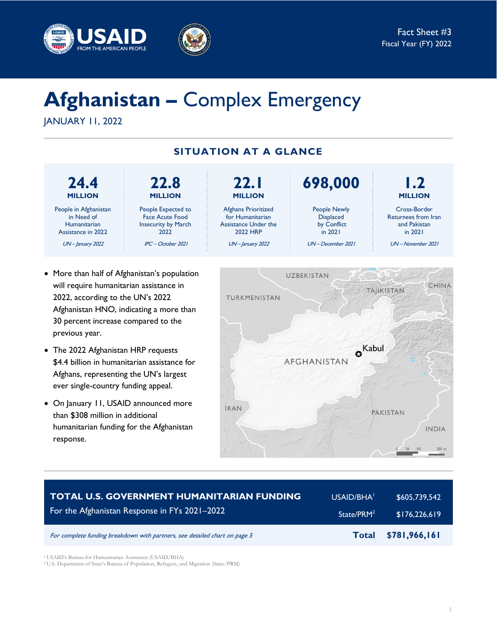



# **Afghanistan –** Complex Emergency

JANUARY 11, 2022



- More than half of Afghanistan's population will require humanitarian assistance in 2022, according to the UN's 2022 Afghanistan HNO, indicating a more than 30 percent increase compared to the previous year.
- The 2022 Afghanistan HRP requests \$4.4 billion in humanitarian assistance for Afghans, representing the UN's largest ever single-country funding appeal.
- On January 11, USAID announced more than \$308 million in additional humanitarian funding for the Afghanistan response.



| <b>TOTAL U.S. GOVERNMENT HUMANITARIAN FUNDING</b>                          | USAID/BHA <sup>1</sup> | \$605,739,542 |
|----------------------------------------------------------------------------|------------------------|---------------|
| For the Afghanistan Response in FYs 2021-2022                              | State/PRM <sup>2</sup> | \$176,226,619 |
| For complete funding breakdown with partners, see detailed chart on page 5 | <b>Total</b>           | \$781,966,161 |

<sup>1</sup> USAID's Bureau for Humanitarian Assistance (USAID/BHA)

<sup>2</sup> U.S. Department of State's Bureau of Population, Refugees, and Migration (State/PRM)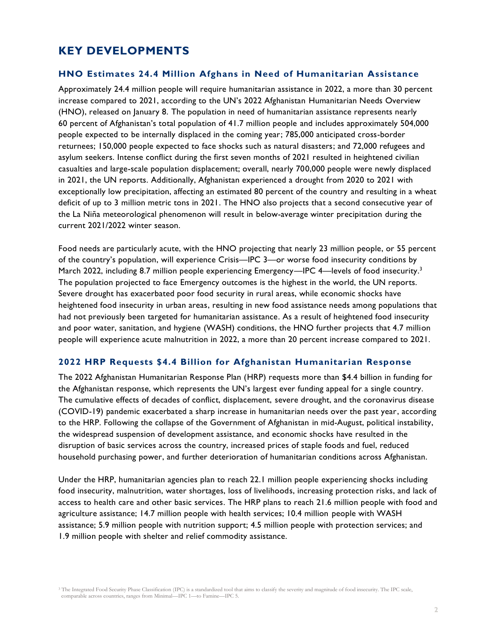## **KEY DEVELOPMENTS**

#### **HNO Estimates 24.4 Million Afghans in Need of Humanitarian Assistance**

Approximately 24.4 million people will require humanitarian assistance in 2022, a more than 30 percent increase compared to 2021, according to the UN's 2022 Afghanistan Humanitarian Needs Overview (HNO), released on January 8. The population in need of humanitarian assistance represents nearly 60 percent of Afghanistan's total population of 41.7 million people and includes approximately 504,000 people expected to be internally displaced in the coming year; 785,000 anticipated cross-border returnees; 150,000 people expected to face shocks such as natural disasters; and 72,000 refugees and asylum seekers. Intense conflict during the first seven months of 2021 resulted in heightened civilian casualties and large-scale population displacement; overall, nearly 700,000 people were newly displaced in 2021, the UN reports. Additionally, Afghanistan experienced a drought from 2020 to 2021 with exceptionally low precipitation, affecting an estimated 80 percent of the country and resulting in a wheat deficit of up to 3 million metric tons in 2021. The HNO also projects that a second consecutive year of the La Niña meteorological phenomenon will result in below-average winter precipitation during the current 2021/2022 winter season.

Food needs are particularly acute, with the HNO projecting that nearly 23 million people, or 55 percent of the country's population, will experience Crisis—IPC 3—or worse food insecurity conditions by March 2022, including 8.7 million people experiencing Emergency—IPC 4—levels of food insecurity.<sup>3</sup> The population projected to face Emergency outcomes is the highest in the world, the UN reports. Severe drought has exacerbated poor food security in rural areas, while economic shocks have heightened food insecurity in urban areas, resulting in new food assistance needs among populations that had not previously been targeted for humanitarian assistance. As a result of heightened food insecurity and poor water, sanitation, and hygiene (WASH) conditions, the HNO further projects that 4.7 million people will experience acute malnutrition in 2022, a more than 20 percent increase compared to 2021.

#### **2022 HRP Requests \$4.4 Billion for Afghanistan Humanitarian Response**

The 2022 Afghanistan Humanitarian Response Plan (HRP) requests more than \$4.4 billion in funding for the Afghanistan response, which represents the UN's largest ever funding appeal for a single country. The cumulative effects of decades of conflict, displacement, severe drought, and the coronavirus disease (COVID-19) pandemic exacerbated a sharp increase in humanitarian needs over the past year, according to the HRP. Following the collapse of the Government of Afghanistan in mid-August, political instability, the widespread suspension of development assistance, and economic shocks have resulted in the disruption of basic services across the country, increased prices of staple foods and fuel, reduced household purchasing power, and further deterioration of humanitarian conditions across Afghanistan.

Under the HRP, humanitarian agencies plan to reach 22.1 million people experiencing shocks including food insecurity, malnutrition, water shortages, loss of livelihoods, increasing protection risks, and lack of access to health care and other basic services. The HRP plans to reach 21.6 million people with food and agriculture assistance; 14.7 million people with health services; 10.4 million people with WASH assistance; 5.9 million people with nutrition support; 4.5 million people with protection services; and 1.9 million people with shelter and relief commodity assistance.

<sup>&</sup>lt;sup>3</sup> The Integrated Food Security Phase Classification (IPC) is a standardized tool that aims to classify the severity and magnitude of food insecurity. The IPC scale, comparable across countries, ranges from Minimal—IPC 1—to Famine—IPC 5.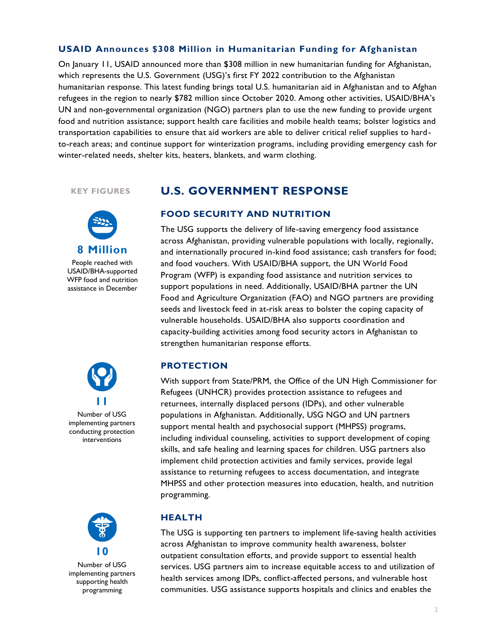### **USAID Announces \$308 Million in Humanitarian Funding for Afghanistan**

On January 11, USAID announced more than \$308 million in new humanitarian funding for Afghanistan, which represents the U.S. Government (USG)'s first FY 2022 contribution to the Afghanistan humanitarian response. This latest funding brings total U.S. humanitarian aid in Afghanistan and to Afghan refugees in the region to nearly \$782 million since October 2020. Among other activities, USAID/BHA's UN and non-governmental organization (NGO) partners plan to use the new funding to provide urgent food and nutrition assistance; support health care facilities and mobile health teams; bolster logistics and transportation capabilities to ensure that aid workers are able to deliver critical relief supplies to hardto-reach areas; and continue support for winterization programs, including providing emergency cash for winter-related needs, shelter kits, heaters, blankets, and warm clothing.

#### **KEY FIGURES**



People reached with USAID/BHA-supported WFP food and nutrition assistance in December



Number of USG implementing partners conducting protection interventions



Number of USG implementing partners supporting health programming

## **U.S. GOVERNMENT RESPONSE**

#### **FOOD SECURITY AND NUTRITION**

The USG supports the delivery of life-saving emergency food assistance across Afghanistan, providing vulnerable populations with locally, regionally, and internationally procured in-kind food assistance; cash transfers for food; and food vouchers. With USAID/BHA support, the UN World Food Program (WFP) is expanding food assistance and nutrition services to support populations in need. Additionally, USAID/BHA partner the UN Food and Agriculture Organization (FAO) and NGO partners are providing seeds and livestock feed in at-risk areas to bolster the coping capacity of vulnerable households. USAID/BHA also supports coordination and capacity-building activities among food security actors in Afghanistan to strengthen humanitarian response efforts.

#### **PROTECTION**

With support from State/PRM, the Office of the UN High Commissioner for Refugees (UNHCR) provides protection assistance to refugees and returnees, internally displaced persons (IDPs), and other vulnerable populations in Afghanistan. Additionally, USG NGO and UN partners support mental health and psychosocial support (MHPSS) programs, including individual counseling, activities to support development of coping skills, and safe healing and learning spaces for children. USG partners also implement child protection activities and family services, provide legal assistance to returning refugees to access documentation, and integrate MHPSS and other protection measures into education, health, and nutrition programming.

#### **HEALTH**

The USG is supporting ten partners to implement life-saving health activities across Afghanistan to improve community health awareness, bolster outpatient consultation efforts, and provide support to essential health services. USG partners aim to increase equitable access to and utilization of health services among IDPs, conflict-affected persons, and vulnerable host communities. USG assistance supports hospitals and clinics and enables the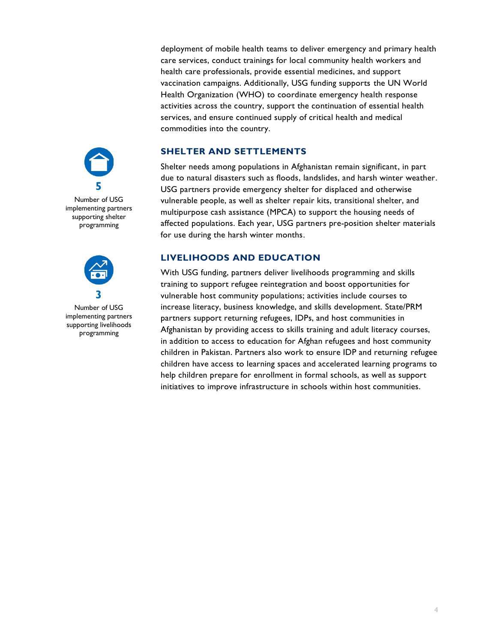deployment of mobile health teams to deliver emergency and primary health care services, conduct trainings for local community health workers and health care professionals, provide essential medicines, and support vaccination campaigns. Additionally, USG funding supports the UN World Health Organization (WHO) to coordinate emergency health response activities across the country, support the continuation of essential health services, and ensure continued supply of critical health and medical commodities into the country.

### **SHELTER AND SETTLEMENTS**

Shelter needs among populations in Afghanistan remain significant, in part due to natural disasters such as floods, landslides, and harsh winter weather. USG partners provide emergency shelter for displaced and otherwise vulnerable people, as well as shelter repair kits, transitional shelter, and multipurpose cash assistance (MPCA) to support the housing needs of affected populations. Each year, USG partners pre-position shelter materials for use during the harsh winter months.

#### **LIVELIHOODS AND EDUCATION**

With USG funding, partners deliver livelihoods programming and skills training to support refugee reintegration and boost opportunities for vulnerable host community populations; activities include courses to increase literacy, business knowledge, and skills development. State/PRM partners support returning refugees, IDPs, and host communities in Afghanistan by providing access to skills training and adult literacy courses, in addition to access to education for Afghan refugees and host community children in Pakistan. Partners also work to ensure IDP and returning refugee children have access to learning spaces and accelerated learning programs to help children prepare for enrollment in formal schools, as well as support initiatives to improve infrastructure in schools within host communities.



Number of USG implementing partners supporting shelter programming



Number of USG implementing partners supporting livelihoods programming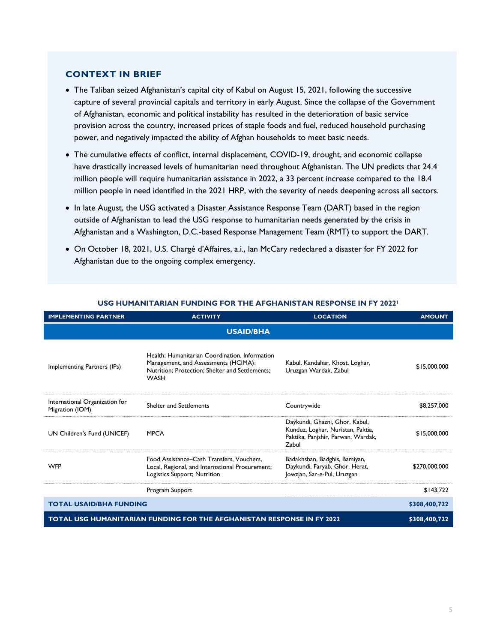#### **CONTEXT IN BRIEF**

- The Taliban seized Afghanistan's capital city of Kabul on August 15, 2021, following the successive capture of several provincial capitals and territory in early August. Since the collapse of the Government of Afghanistan, economic and political instability has resulted in the deterioration of basic service provision across the country, increased prices of staple foods and fuel, reduced household purchasing power, and negatively impacted the ability of Afghan households to meet basic needs.
- The cumulative effects of conflict, internal displacement, COVID-19, drought, and economic collapse have drastically increased levels of humanitarian need throughout Afghanistan. The UN predicts that 24.4 million people will require humanitarian assistance in 2022, a 33 percent increase compared to the 18.4 million people in need identified in the 2021 HRP, with the severity of needs deepening across all sectors.
- In late August, the USG activated a Disaster Assistance Response Team (DART) based in the region outside of Afghanistan to lead the USG response to humanitarian needs generated by the crisis in Afghanistan and a Washington, D.C.-based Response Management Team (RMT) to support the DART.
- On October 18, 2021, U.S. Chargé d'Affaires, a.i., Ian McCary redeclared a disaster for FY 2022 for Afghanistan due to the ongoing complex emergency.

| <b>IMPLEMENTING PARTNER</b>                                                   | <b>ACTIVITY</b>                                                                                                                                          | <b>LOCATION</b>                                                                                                    | <b>AMOUNT</b> |  |
|-------------------------------------------------------------------------------|----------------------------------------------------------------------------------------------------------------------------------------------------------|--------------------------------------------------------------------------------------------------------------------|---------------|--|
| <b>USAID/BHA</b>                                                              |                                                                                                                                                          |                                                                                                                    |               |  |
| Implementing Partners (IPs)                                                   | Health; Humanitarian Coordination, Information<br>Management, and Assessments (HCIMA);<br>Nutrition; Protection; Shelter and Settlements;<br><b>WASH</b> | Kabul, Kandahar, Khost, Loghar,<br>Uruzgan Wardak, Zabul                                                           | \$15,000,000  |  |
| International Organization for<br>Migration (IOM)                             | <b>Shelter and Settlements</b>                                                                                                                           | Countrywide                                                                                                        | \$8,257,000   |  |
| UN Children's Fund (UNICEF)                                                   | <b>MPCA</b>                                                                                                                                              | Daykundi, Ghazni, Ghor, Kabul,<br>Kunduz, Loghar, Nuristan, Paktia,<br>Paktika, Panjshir, Parwan, Wardak,<br>Zabul | \$15,000,000  |  |
| <b>WFP</b>                                                                    | Food Assistance-Cash Transfers, Vouchers,<br>Local, Regional, and International Procurement;<br>Logistics Support; Nutrition                             | Badakhshan, Badghis, Bamiyan,<br>Daykundi, Faryab, Ghor, Herat,<br>Jowzjan, Sar-e-Pul, Uruzgan                     | \$270,000,000 |  |
|                                                                               | Program Support                                                                                                                                          |                                                                                                                    | \$143,722     |  |
| <b>TOTAL USAID/BHA FUNDING</b>                                                |                                                                                                                                                          |                                                                                                                    | \$308,400,722 |  |
| <b>TOTAL USG HUMANITARIAN FUNDING FOR THE AFGHANISTAN RESPONSE IN FY 2022</b> |                                                                                                                                                          |                                                                                                                    | \$308,400,722 |  |

#### **USG HUMANITARIAN FUNDING FOR THE AFGHANISTAN RESPONSE IN FY 2022<sup>1</sup>**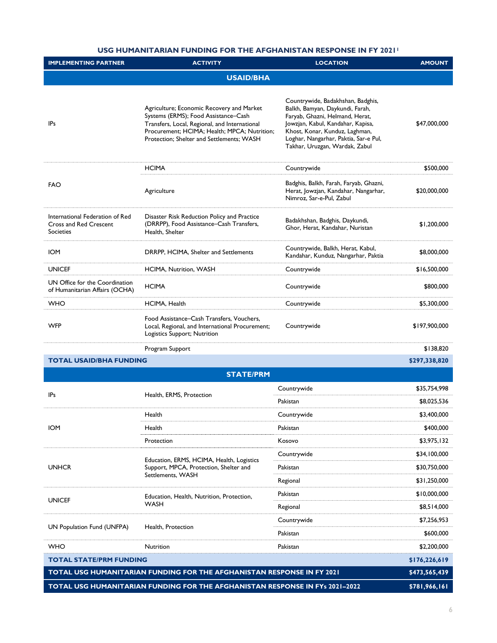#### **USG HUMANITARIAN FUNDING FOR THE AFGHANISTAN RESPONSE IN FY 2021<sup>1</sup>**

| <b>IMPLEMENTING PARTNER</b>                                                                   | <b>ACTIVITY</b>                                                                                                                                                                                                                 | <b>LOCATION</b>                                                                                                                                                                                                                                           | <b>AMOUNT</b> |  |  |
|-----------------------------------------------------------------------------------------------|---------------------------------------------------------------------------------------------------------------------------------------------------------------------------------------------------------------------------------|-----------------------------------------------------------------------------------------------------------------------------------------------------------------------------------------------------------------------------------------------------------|---------------|--|--|
| <b>USAID/BHA</b>                                                                              |                                                                                                                                                                                                                                 |                                                                                                                                                                                                                                                           |               |  |  |
| <b>IPs</b>                                                                                    | Agriculture; Economic Recovery and Market<br>Systems (ERMS); Food Assistance-Cash<br>Transfers, Local, Regional, and International<br>Procurement; HCIMA; Health; MPCA; Nutrition;<br>Protection; Shelter and Settlements; WASH | Countrywide, Badakhshan, Badghis,<br>Balkh, Bamyan, Daykundi, Farah,<br>Faryab, Ghazni, Helmand, Herat,<br>Jowzjan, Kabul, Kandahar, Kapisa,<br>Khost, Konar, Kunduz, Laghman,<br>Loghar, Nangarhar, Paktia, Sar-e Pul,<br>Takhar, Uruzgan, Wardak, Zabul | \$47,000,000  |  |  |
| FAO                                                                                           | <b>HCIMA</b>                                                                                                                                                                                                                    | Countrywide                                                                                                                                                                                                                                               | \$500,000     |  |  |
|                                                                                               | Agriculture                                                                                                                                                                                                                     | Badghis, Balkh, Farah, Faryab, Ghazni,<br>Herat, Jowzjan, Kandahar, Nangarhar,<br>Nimroz, Sar-e-Pul, Zabul                                                                                                                                                | \$20,000,000  |  |  |
| International Federation of Red<br><b>Cross and Red Crescent</b><br><b>Societies</b>          | Disaster Risk Reduction Policy and Practice<br>(DRRPP), Food Assistance-Cash Transfers,<br>Health, Shelter                                                                                                                      | Badakhshan, Badghis, Daykundi,<br>Ghor, Herat, Kandahar, Nuristan                                                                                                                                                                                         | \$1,200,000   |  |  |
| <b>IOM</b>                                                                                    | DRRPP, HCIMA, Shelter and Settlements                                                                                                                                                                                           | Countrywide, Balkh, Herat, Kabul,<br>Kandahar, Kunduz, Nangarhar, Paktia                                                                                                                                                                                  | \$8,000,000   |  |  |
| <b>UNICEF</b>                                                                                 | HCIMA, Nutrition, WASH                                                                                                                                                                                                          | Countrywide                                                                                                                                                                                                                                               | \$16,500,000  |  |  |
| UN Office for the Coordination<br>of Humanitarian Affairs (OCHA)                              | <b>HCIMA</b>                                                                                                                                                                                                                    | Countrywide                                                                                                                                                                                                                                               | \$800,000     |  |  |
| <b>WHO</b>                                                                                    | HCIMA, Health                                                                                                                                                                                                                   | Countrywide                                                                                                                                                                                                                                               | \$5,300,000   |  |  |
| <b>WFP</b>                                                                                    | Food Assistance–Cash Transfers, Vouchers,<br>Local, Regional, and International Procurement;<br>Logistics Support; Nutrition                                                                                                    | Countrywide                                                                                                                                                                                                                                               | \$197,900,000 |  |  |
|                                                                                               | Program Support                                                                                                                                                                                                                 |                                                                                                                                                                                                                                                           | \$138,820     |  |  |
| <b>TOTAL USAID/BHA FUNDING</b>                                                                |                                                                                                                                                                                                                                 |                                                                                                                                                                                                                                                           | \$297,338,820 |  |  |
|                                                                                               | <b>STATE/PRM</b>                                                                                                                                                                                                                |                                                                                                                                                                                                                                                           |               |  |  |
| <b>IPs</b>                                                                                    | Health, ERMS, Protection                                                                                                                                                                                                        | Countrywide                                                                                                                                                                                                                                               | \$35,754,998  |  |  |
|                                                                                               |                                                                                                                                                                                                                                 | Pakistan                                                                                                                                                                                                                                                  | \$8,025,536   |  |  |
| <b>IOM</b>                                                                                    | Health                                                                                                                                                                                                                          | Countrywide                                                                                                                                                                                                                                               | \$3,400,000   |  |  |
|                                                                                               | Health                                                                                                                                                                                                                          | Pakistan                                                                                                                                                                                                                                                  | \$400,000     |  |  |
|                                                                                               | Protection                                                                                                                                                                                                                      | Kosovo                                                                                                                                                                                                                                                    | \$3,975,132   |  |  |
|                                                                                               | Education, ERMS, HCIMA, Health, Logistics<br>Support, MPCA, Protection, Shelter and<br>Settlements, WASH                                                                                                                        | Countrywide                                                                                                                                                                                                                                               | \$34,100,000  |  |  |
| <b>UNHCR</b>                                                                                  |                                                                                                                                                                                                                                 | Pakistan                                                                                                                                                                                                                                                  | \$30,750,000  |  |  |
|                                                                                               |                                                                                                                                                                                                                                 | Regional                                                                                                                                                                                                                                                  | \$31,250,000  |  |  |
| <b>UNICEF</b>                                                                                 | Education, Health, Nutrition, Protection,<br>WASH                                                                                                                                                                               | Pakistan                                                                                                                                                                                                                                                  | \$10,000,000  |  |  |
|                                                                                               |                                                                                                                                                                                                                                 | Regional                                                                                                                                                                                                                                                  | \$8,514,000   |  |  |
| UN Population Fund (UNFPA)                                                                    | Health, Protection                                                                                                                                                                                                              | Countrywide                                                                                                                                                                                                                                               | \$7,256,953   |  |  |
|                                                                                               |                                                                                                                                                                                                                                 | Pakistan                                                                                                                                                                                                                                                  | \$600,000     |  |  |
| <b>WHO</b>                                                                                    | <b>Nutrition</b>                                                                                                                                                                                                                | Pakistan                                                                                                                                                                                                                                                  | \$2,200,000   |  |  |
| <b>TOTAL STATE/PRM FUNDING</b>                                                                |                                                                                                                                                                                                                                 |                                                                                                                                                                                                                                                           | \$176,226,619 |  |  |
| TOTAL USG HUMANITARIAN FUNDING FOR THE AFGHANISTAN RESPONSE IN FY 2021                        |                                                                                                                                                                                                                                 |                                                                                                                                                                                                                                                           |               |  |  |
| TOTAL USG HUMANITARIAN FUNDING FOR THE AFGHANISTAN RESPONSE IN FYs 2021-2022<br>\$781,966,161 |                                                                                                                                                                                                                                 |                                                                                                                                                                                                                                                           |               |  |  |